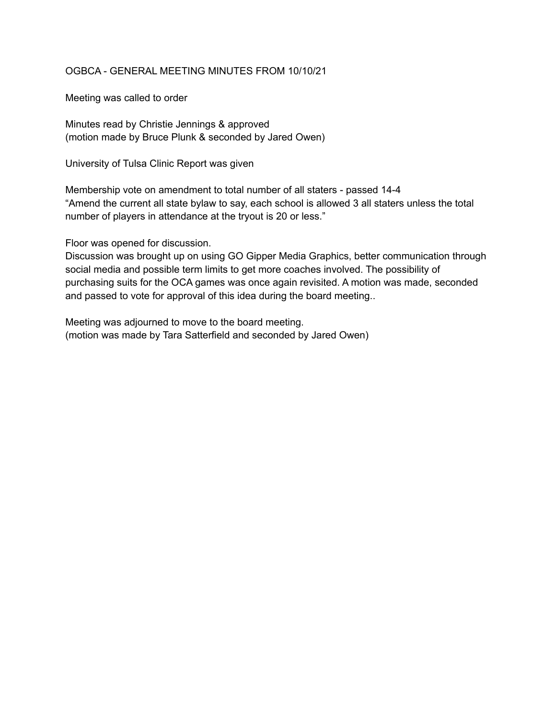## OGBCA - GENERAL MEETING MINUTES FROM 10/10/21

Meeting was called to order

Minutes read by Christie Jennings & approved (motion made by Bruce Plunk & seconded by Jared Owen)

University of Tulsa Clinic Report was given

Membership vote on amendment to total number of all staters - passed 14-4 "Amend the current all state bylaw to say, each school is allowed 3 all staters unless the total number of players in attendance at the tryout is 20 or less."

Floor was opened for discussion.

Discussion was brought up on using GO Gipper Media Graphics, better communication through social media and possible term limits to get more coaches involved. The possibility of purchasing suits for the OCA games was once again revisited. A motion was made, seconded and passed to vote for approval of this idea during the board meeting..

Meeting was adjourned to move to the board meeting. (motion was made by Tara Satterfield and seconded by Jared Owen)